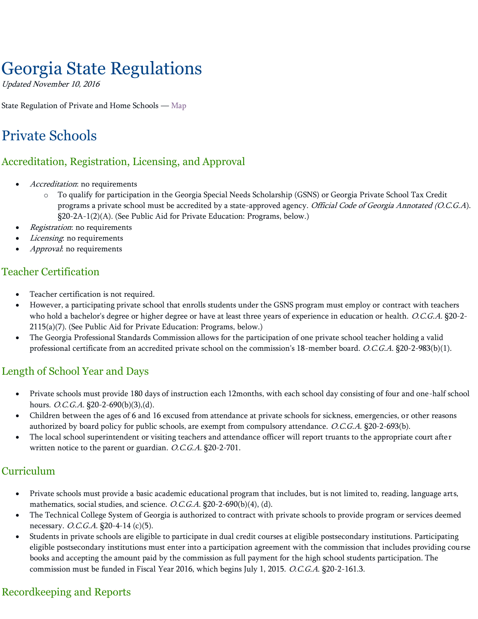# Georgia State Regulations

Updated November 10, 2016

State Regulation of Private and Home Schools — [Map](https://www2.ed.gov/about/inits/ed/non-public-education/regulation-map/index.html)

# Private Schools

# Accreditation, Registration, Licensing, and Approval

- Accreditation: no requirements
	- o To qualify for participation in the Georgia Special Needs Scholarship (GSNS) or Georgia Private School Tax Credit programs a private school must be accredited by a state-approved agency. Official Code of Georgia Annotated (O.C.G.A). §20-2A-1(2)(A). (See Public Aid for Private Education: Programs, below.)
- Registration: no requirements
- Licensing: no requirements
- Approval: no requirements

# Teacher Certification

- Teacher certification is not required.
- However, a participating private school that enrolls students under the GSNS program must employ or contract with teachers who hold a bachelor's degree or higher degree or have at least three years of experience in education or health. O.C.G.A. §20-2-2115(a)(7). (See Public Aid for Private Education: Programs, below.)
- The Georgia Professional Standards Commission allows for the participation of one private school teacher holding a valid professional certificate from an accredited private school on the commission's 18-member board. O.C.G.A. §20-2-983(b)(1).

# Length of School Year and Days

- Private schools must provide 180 days of instruction each 12months, with each school day consisting of four and one-half school hours. *O.C.G.A*. §20-2-690(b)(3),(d).
- Children between the ages of 6 and 16 excused from attendance at private schools for sickness, emergencies, or other reasons authorized by board policy for public schools, are exempt from compulsory attendance. O.C.G.A. §20-2-693(b).
- The local school superintendent or visiting teachers and attendance officer will report truants to the appropriate court after written notice to the parent or guardian. O.C.G.A. §20-2-701.

#### Curriculum

- Private schools must provide a basic academic educational program that includes, but is not limited to, reading, language arts, mathematics, social studies, and science. O.C.G.A. §20-2-690(b)(4), (d).
- The Technical College System of Georgia is authorized to contract with private schools to provide program or services deemed necessary. O.C.G.A. §20-4-14 (c)(5).
- Students in private schools are eligible to participate in dual credit courses at eligible postsecondary institutions. Participating eligible postsecondary institutions must enter into a participation agreement with the commission that includes providing course books and accepting the amount paid by the commission as full payment for the high school students participation. The commission must be funded in Fiscal Year 2016, which begins July 1, 2015. O.C.G.A. §20-2-161.3.

# Recordkeeping and Reports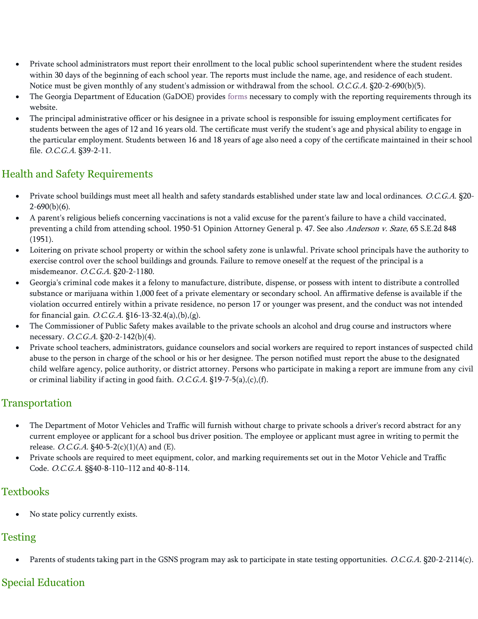- Private school administrators must report their enrollment to the local public school superintendent where the student resides within 30 days of the beginning of each school year. The reports must include the name, age, and residence of each student. Notice must be given monthly of any student's admission or withdrawal from the school. O.C.G.A. §20-2-690(b)(5).
- The Georgia Department of Education (GaDOE) provides [forms](http://www.gadoe.org/Technology-Services/Data-Collections/Documents/Private%20School/FY2014/FY2014%20DE%20Form%201111_PRIVATE%20SCHOOL%20REPORT%20OF%20STUDENTS%20ENROLLED.pdf) necessary to comply with the reporting requirements through its website.
- The principal administrative officer or his designee in a private school is responsible for issuing employment certificates for students between the ages of 12 and 16 years old. The certificate must verify the student's age and physical ability to engage in the particular employment. Students between 16 and 18 years of age also need a copy of the certificate maintained in their school file. O.C.G.A. §39-2-11.

# Health and Safety Requirements

- Private school buildings must meet all health and safety standards established under state law and local ordinances. O.C.G.A. §20-  $2-690(b)(6)$ .
- A parent's religious beliefs concerning vaccinations is not a valid excuse for the parent's failure to have a child vaccinated, preventing a child from attending school. 1950-51 Opinion Attorney General p. 47. See also Anderson v. State, 65 S.E.2d 848 (1951).
- Loitering on private school property or within the school safety zone is unlawful. Private school principals have the authority to exercise control over the school buildings and grounds. Failure to remove oneself at the request of the principal is a misdemeanor. O.C.G.A. §20-2-1180.
- Georgia's criminal code makes it a felony to manufacture, distribute, dispense, or possess with intent to distribute a controlled substance or marijuana within 1,000 feet of a private elementary or secondary school. An affirmative defense is available if the violation occurred entirely within a private residence, no person 17 or younger was present, and the conduct was not intended for financial gain. *O.C.G.A*. §16-13-32.4(a),(b),(g).
- The Commissioner of Public Safety makes available to the private schools an alcohol and drug course and instructors where necessary. O.C.G.A. §20-2-142(b)(4).
- Private school teachers, administrators, guidance counselors and social workers are required to report instances of suspected child abuse to the person in charge of the school or his or her designee. The person notified must report the abuse to the designated child welfare agency, police authority, or district attorney. Persons who participate in making a report are immune from any civil or criminal liability if acting in good faith. O.C.G.A. §19-7-5(a),(c),(f).

# Transportation

- The Department of Motor Vehicles and Traffic will furnish without charge to private schools a driver's record abstract for any current employee or applicant for a school bus driver position. The employee or applicant must agree in writing to permit the release. *O.C.G.A*. §40-5-2(c)(1)(A) and (E).
- Private schools are required to meet equipment, color, and marking requirements set out in the Motor Vehicle and Traffic Code. O.C.G.A. §§40-8-110–112 and 40-8-114.

#### **Textbooks**

No state policy currently exists.

# Testing

Parents of students taking part in the GSNS program may ask to participate in state testing opportunities. O.C.G.A. §20-2-2114(c).

# Special Education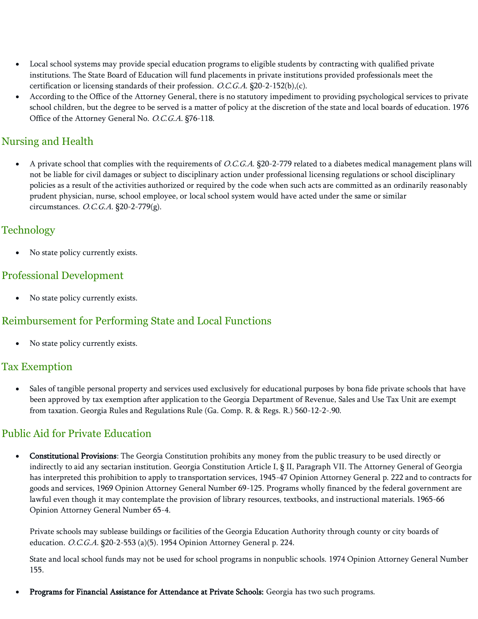- Local school systems may provide special education programs to eligible students by contracting with qualified private institutions. The State Board of Education will fund placements in private institutions provided professionals meet the certification or licensing standards of their profession. O.C.G.A. §20-2-152(b),(c).
- According to the Office of the Attorney General, there is no statutory impediment to providing psychological services to private school children, but the degree to be served is a matter of policy at the discretion of the state and local boards of education. 1976 Office of the Attorney General No. O.C.G.A. §76-118.

# Nursing and Health

• A private school that complies with the requirements of O.C.G.A. §20-2-779 related to a diabetes medical management plans will not be liable for civil damages or subject to disciplinary action under professional licensing regulations or school disciplinary policies as a result of the activities authorized or required by the code when such acts are committed as an ordinarily reasonably prudent physician, nurse, school employee, or local school system would have acted under the same or similar circumstances. O.C.G.A. §20-2-779(g).

#### **Technology**

No state policy currently exists.

#### Professional Development

No state policy currently exists.

# Reimbursement for Performing State and Local Functions

No state policy currently exists.

#### Tax Exemption

Sales of tangible personal property and services used exclusively for educational purposes by bona fide private schools that have been approved by tax exemption after application to the Georgia Department of Revenue, Sales and Use Tax Unit are exempt from taxation. Georgia Rules and Regulations Rule (Ga. Comp. R. & Regs. R.) 560-12-2-.90.

# Public Aid for Private Education

• Constitutional Provisions: The Georgia Constitution prohibits any money from the public treasury to be used directly or indirectly to aid any sectarian institution. Georgia Constitution Article I, § II, Paragraph VII. The Attorney General of Georgia has interpreted this prohibition to apply to transportation services, 1945-47 Opinion Attorney General p. 222 and to contracts for goods and services, 1969 Opinion Attorney General Number 69-125. Programs wholly financed by the federal government are lawful even though it may contemplate the provision of library resources, textbooks, and instructional materials. 1965-66 Opinion Attorney General Number 65-4.

Private schools may sublease buildings or facilities of the Georgia Education Authority through county or city boards of education. O.C.G.A. §20-2-553 (a)(5). 1954 Opinion Attorney General p. 224.

State and local school funds may not be used for school programs in nonpublic schools. 1974 Opinion Attorney General Number 155.

• Programs for Financial Assistance for Attendance at Private Schools: Georgia has two such programs.